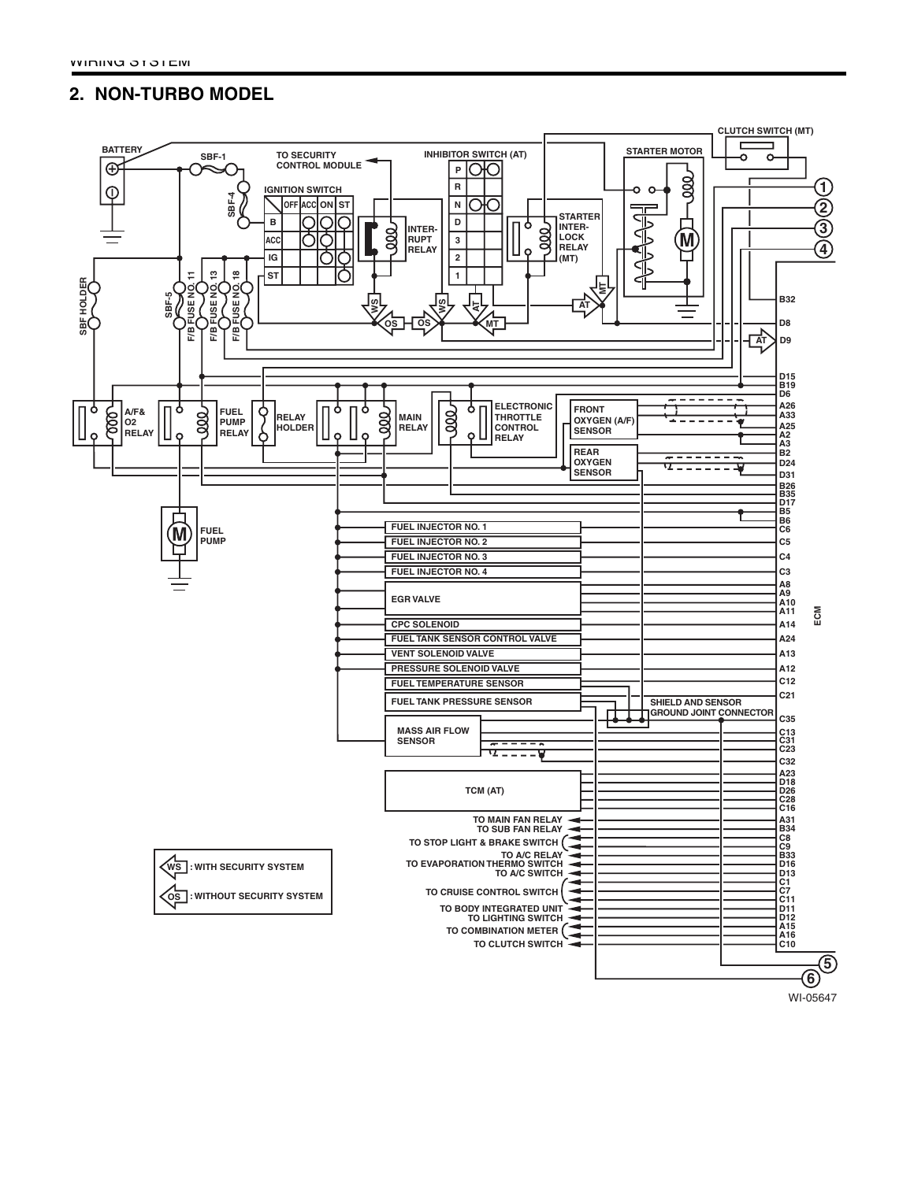## **2. NON-TURBO MODEL**



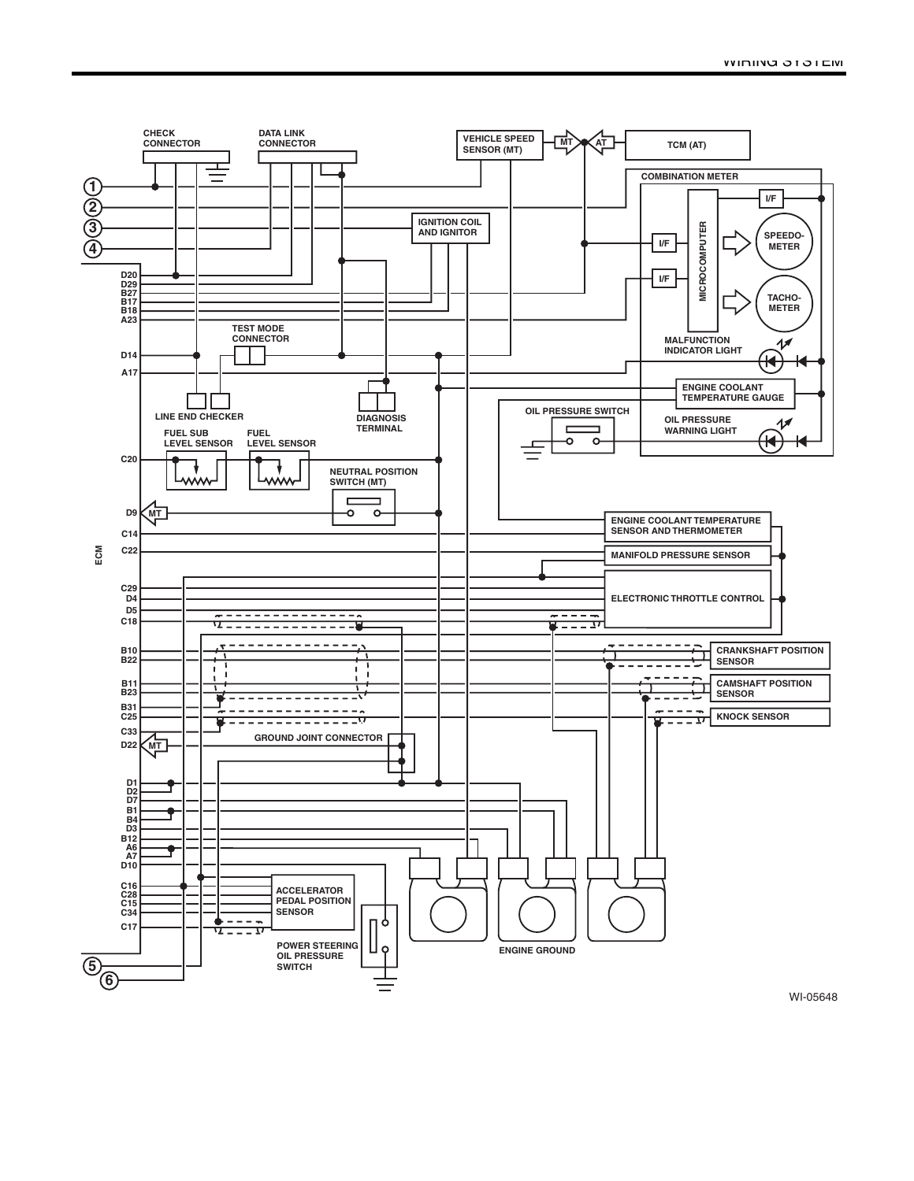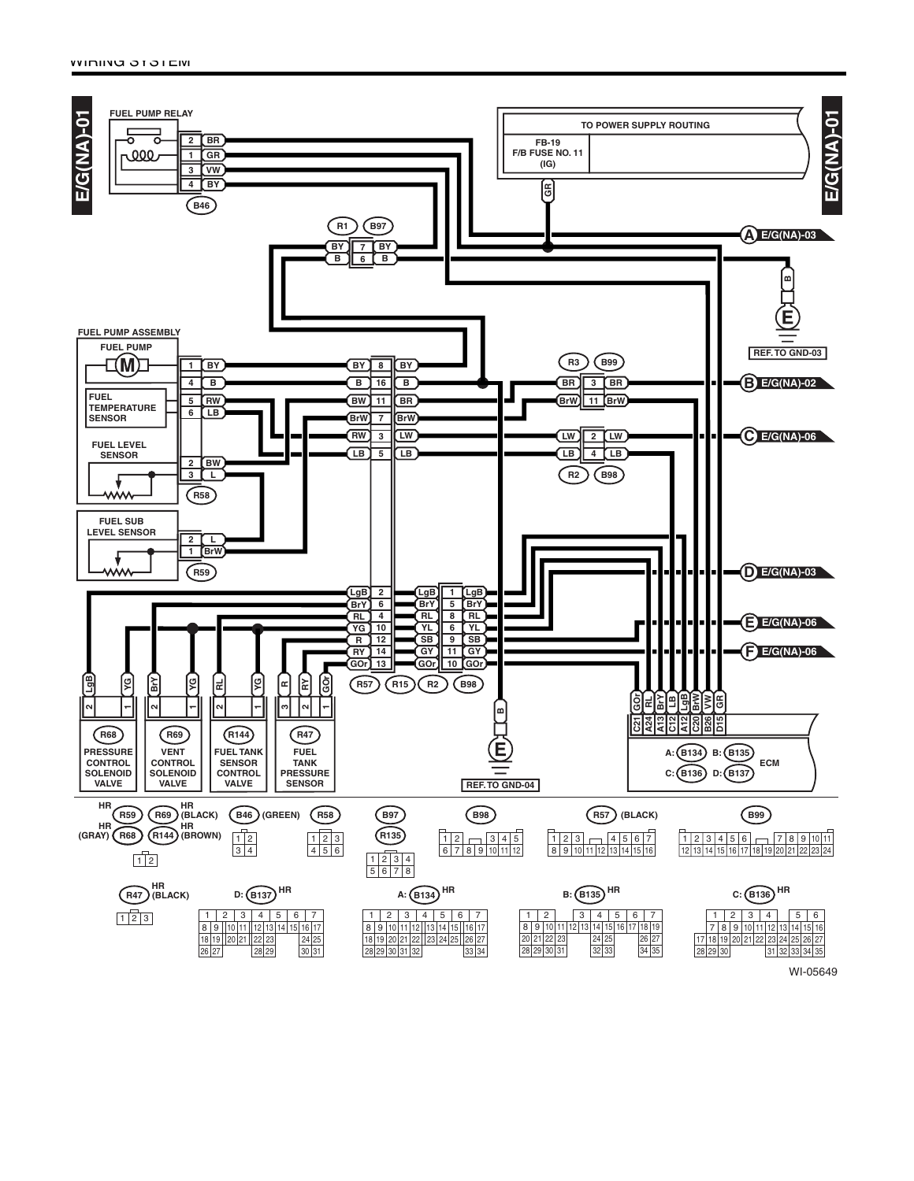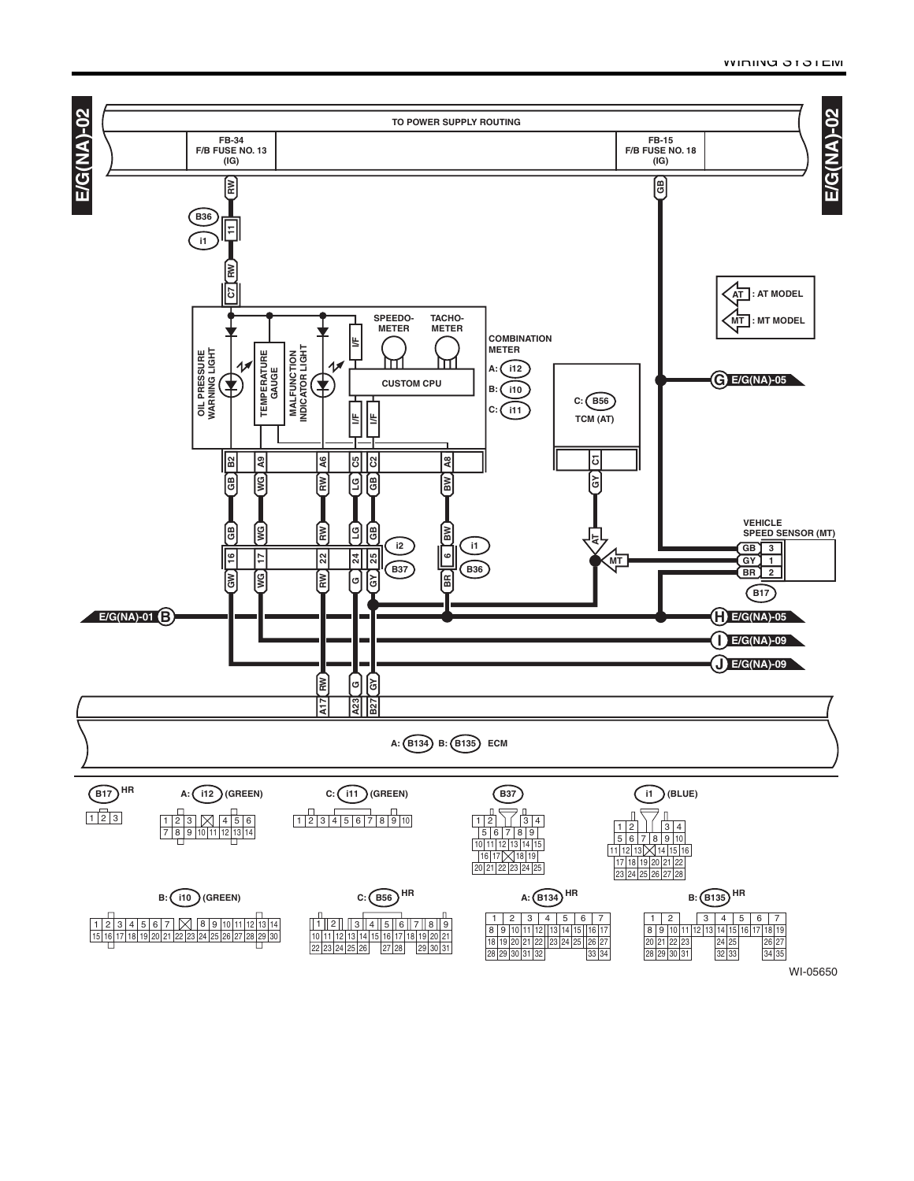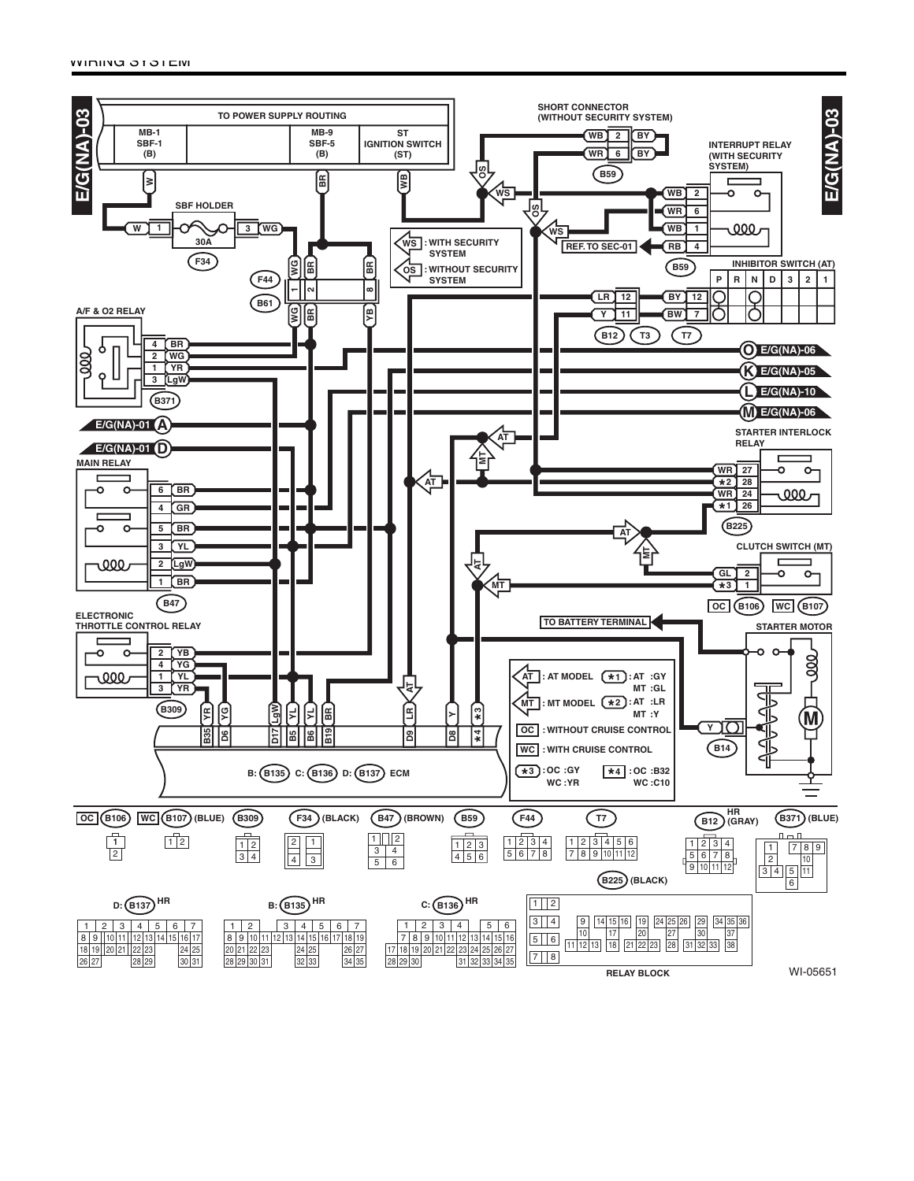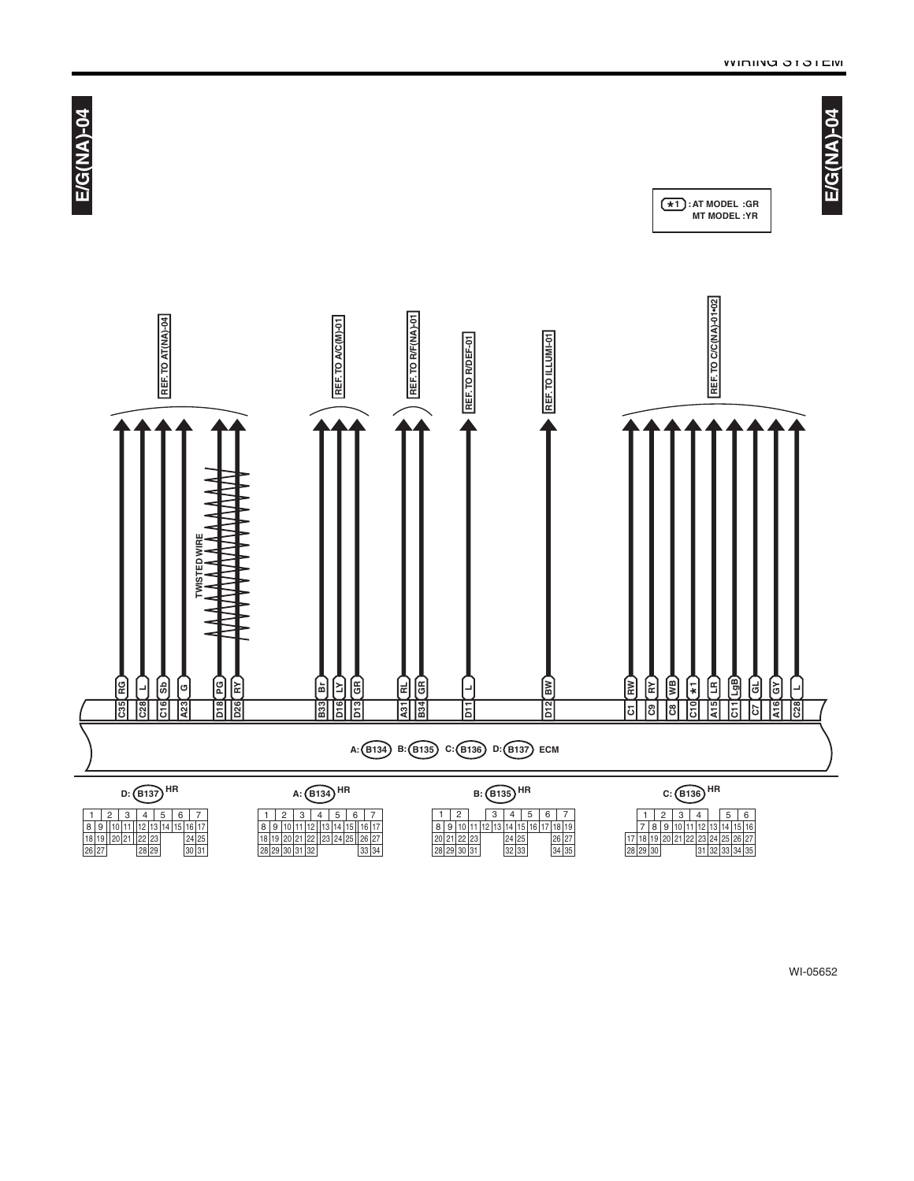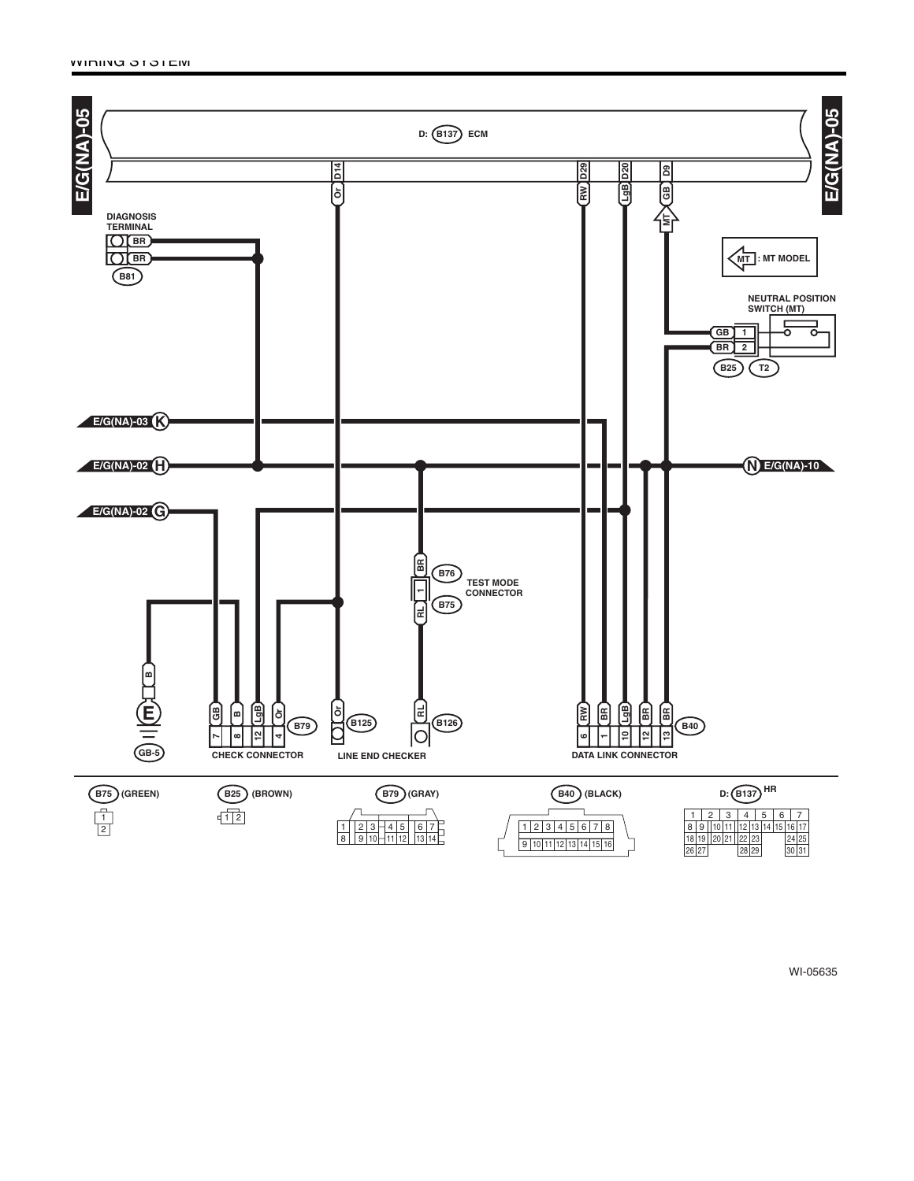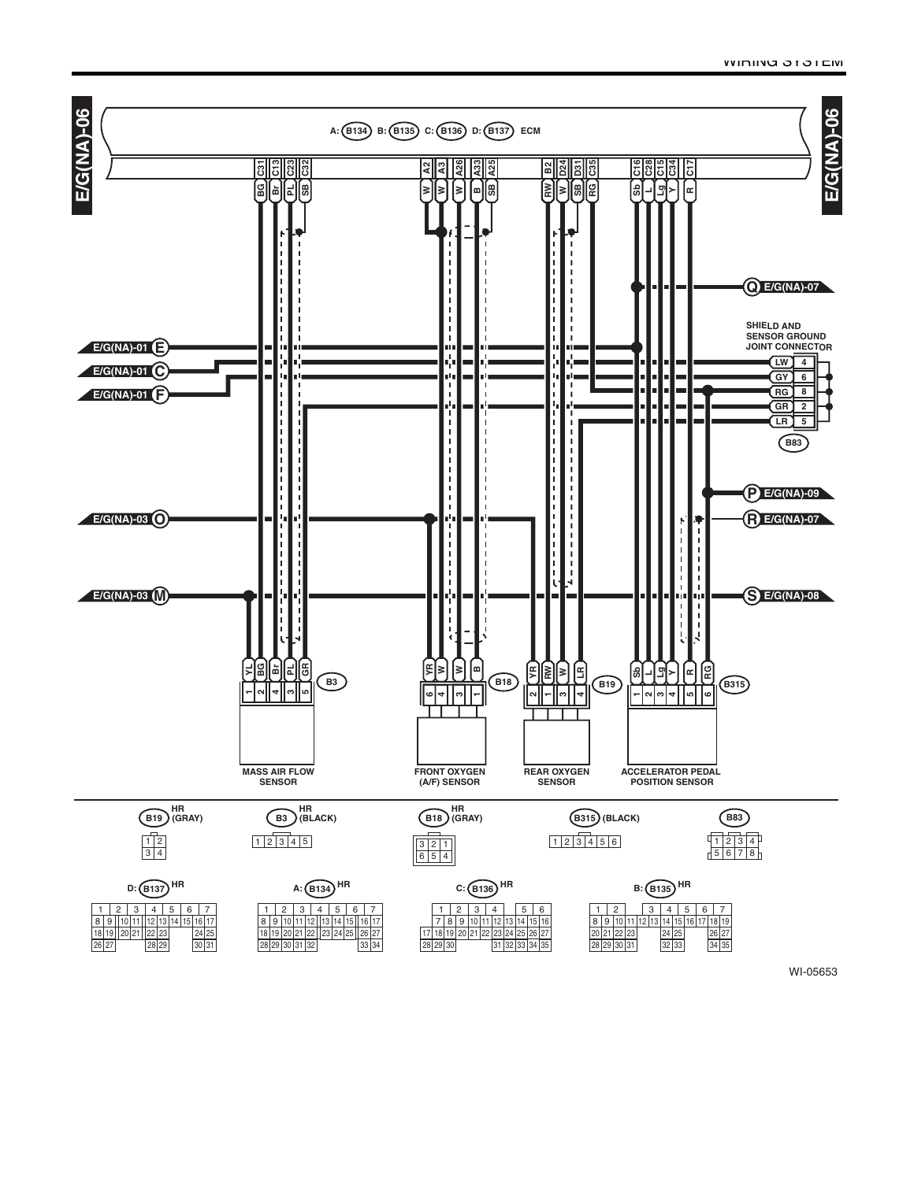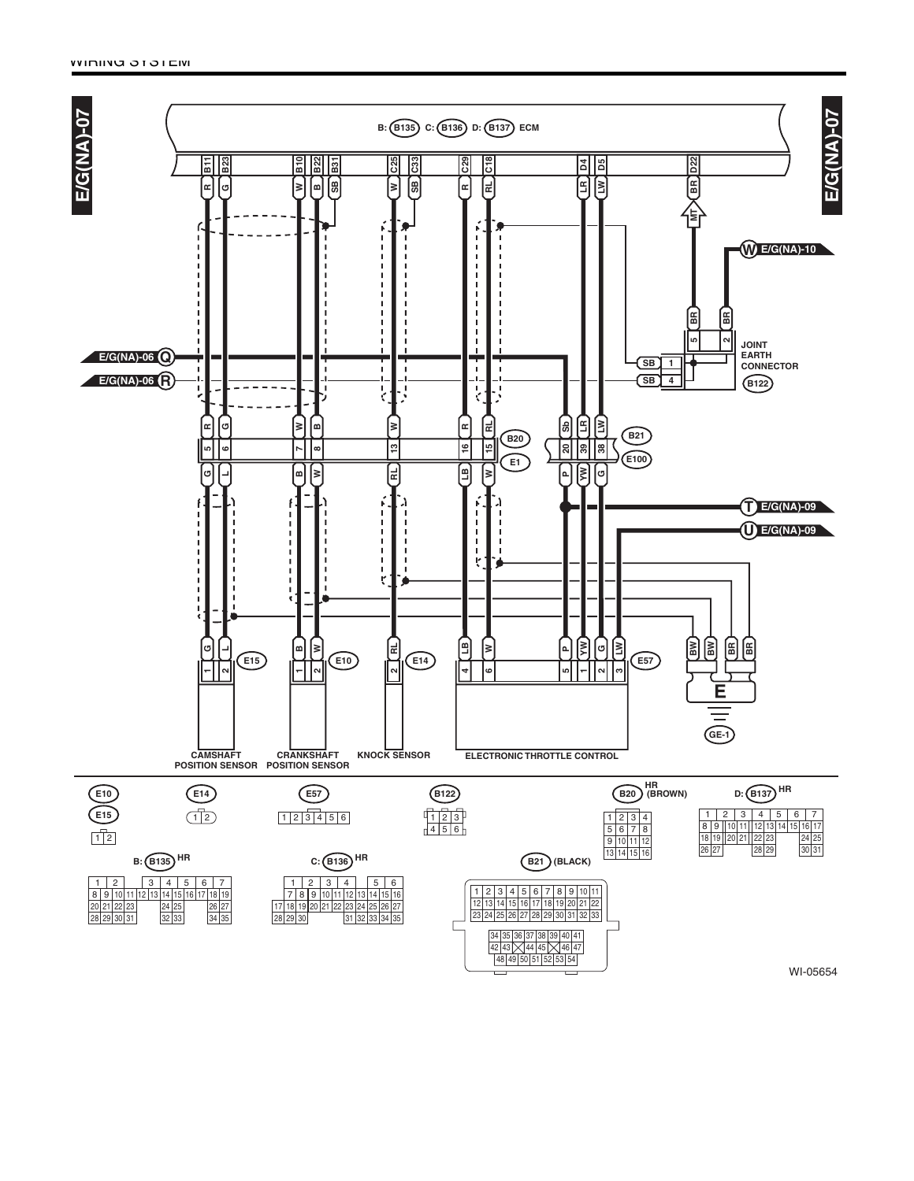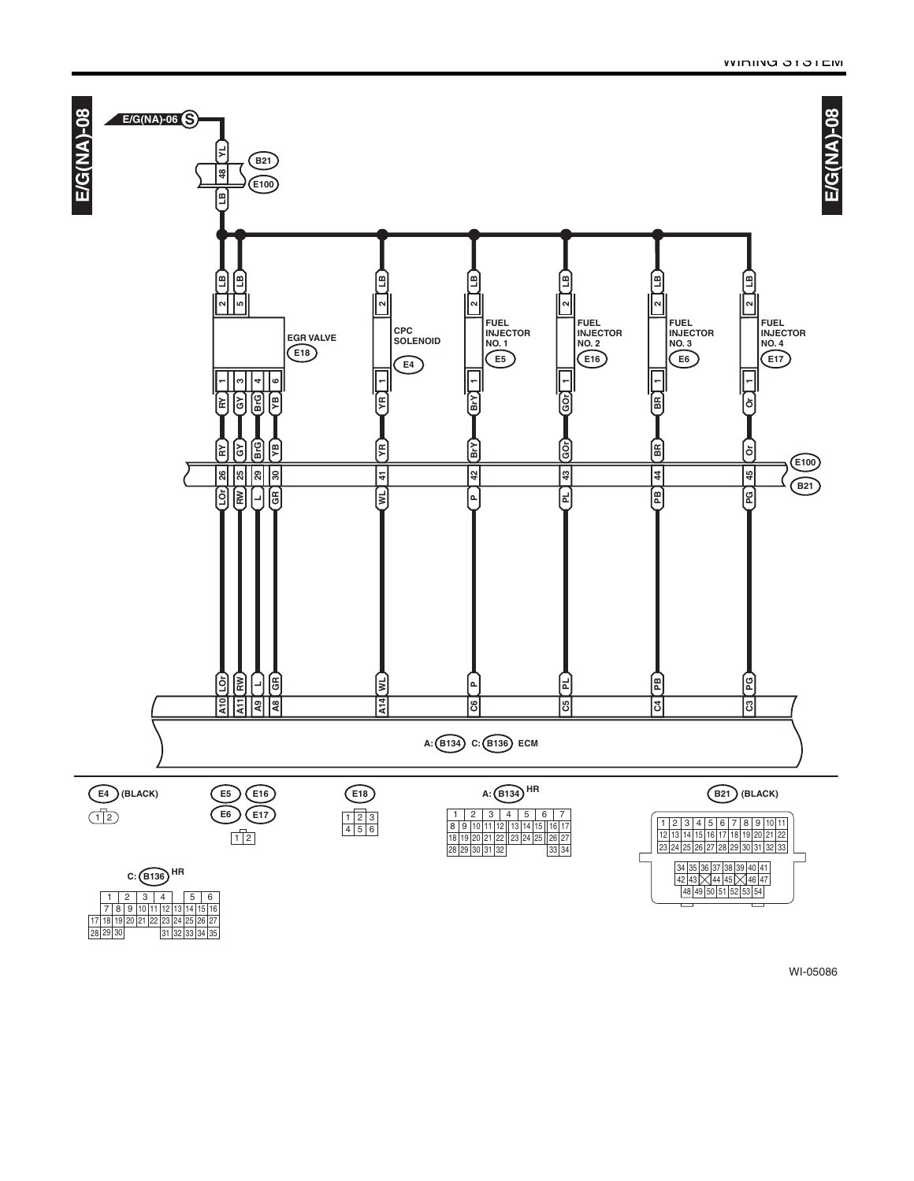

28 | 29 | 30

29 31 32 33 34 35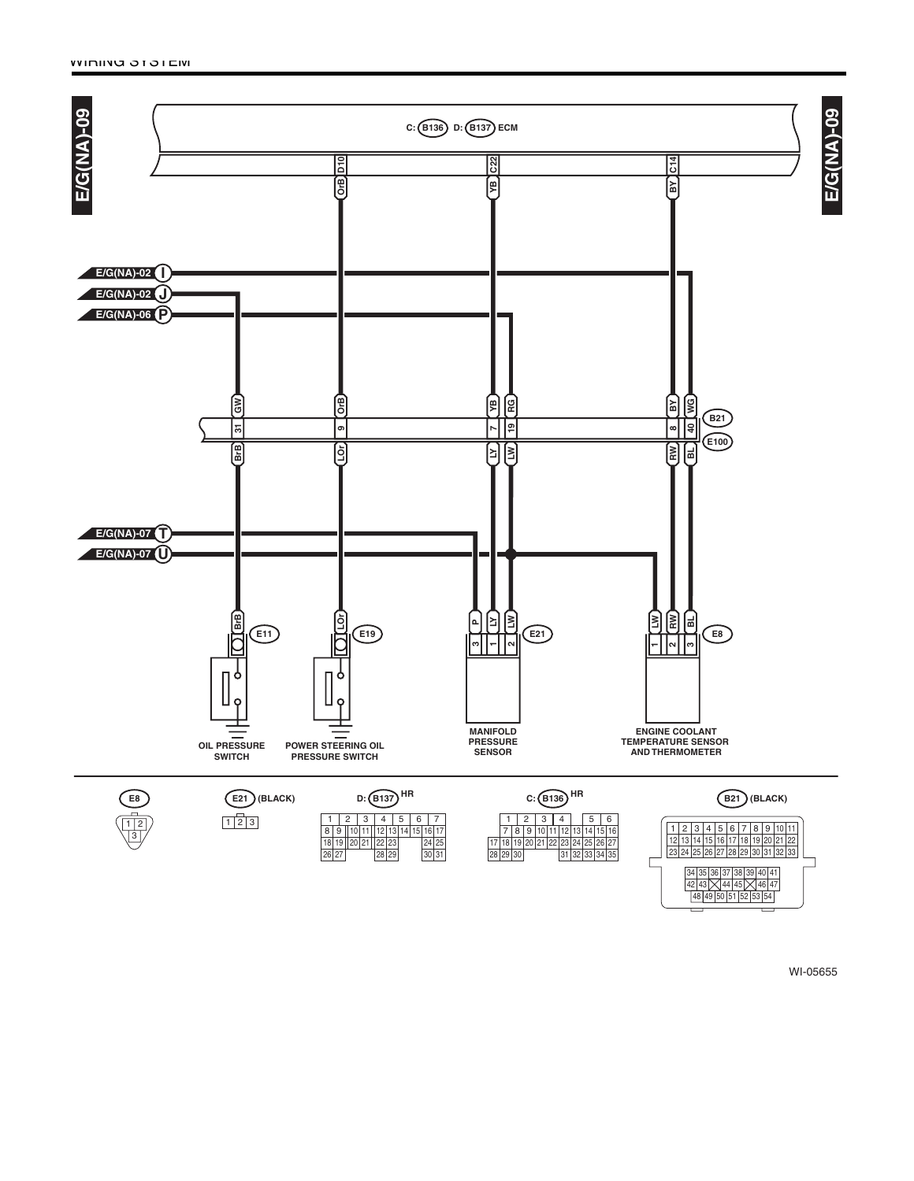